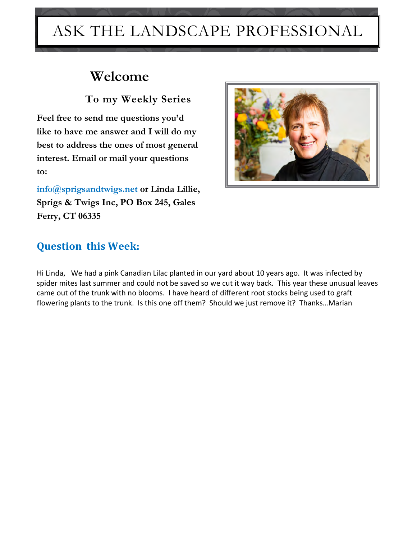# ASK THE LANDSCAPE PROFESSIONAL

## **Welcome**

 **To my Weekly Series**

**Feel free to send me questions you'd like to have me answer and I will do my best to address the ones of most general interest. Email or mail your questions to:** 

**[info@sprigsandtwigs.net](mailto:info@sprigsandtwigs.net) or Linda Lillie, Sprigs & Twigs Inc, PO Box 245, Gales Ferry, CT 06335**



### **Question this Week:**

Hi Linda, We had a pink Canadian Lilac planted in our yard about 10 years ago. It was infected by spider mites last summer and could not be saved so we cut it way back. This year these unusual leaves came out of the trunk with no blooms. I have heard of different root stocks being used to graft flowering plants to the trunk. Is this one off them? Should we just remove it? Thanks…Marian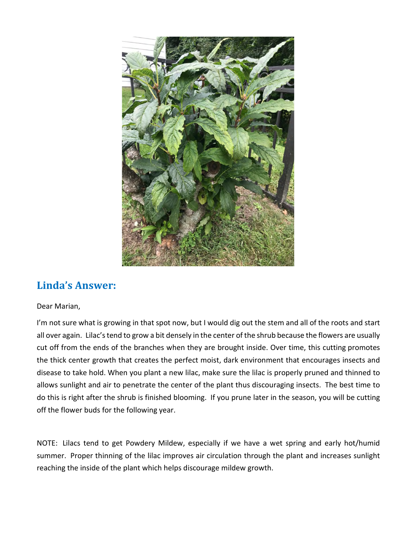

#### **Linda's Answer:**

#### Dear Marian,

I'm not sure what is growing in that spot now, but I would dig out the stem and all of the roots and start all over again. Lilac's tend to grow a bit densely in the center of the shrub because the flowers are usually cut off from the ends of the branches when they are brought inside. Over time, this cutting promotes the thick center growth that creates the perfect moist, dark environment that encourages insects and disease to take hold. When you plant a new lilac, make sure the lilac is properly pruned and thinned to allows sunlight and air to penetrate the center of the plant thus discouraging insects. The best time to do this is right after the shrub is finished blooming. If you prune later in the season, you will be cutting off the flower buds for the following year.

NOTE: Lilacs tend to get Powdery Mildew, especially if we have a wet spring and early hot/humid summer. Proper thinning of the lilac improves air circulation through the plant and increases sunlight reaching the inside of the plant which helps discourage mildew growth.